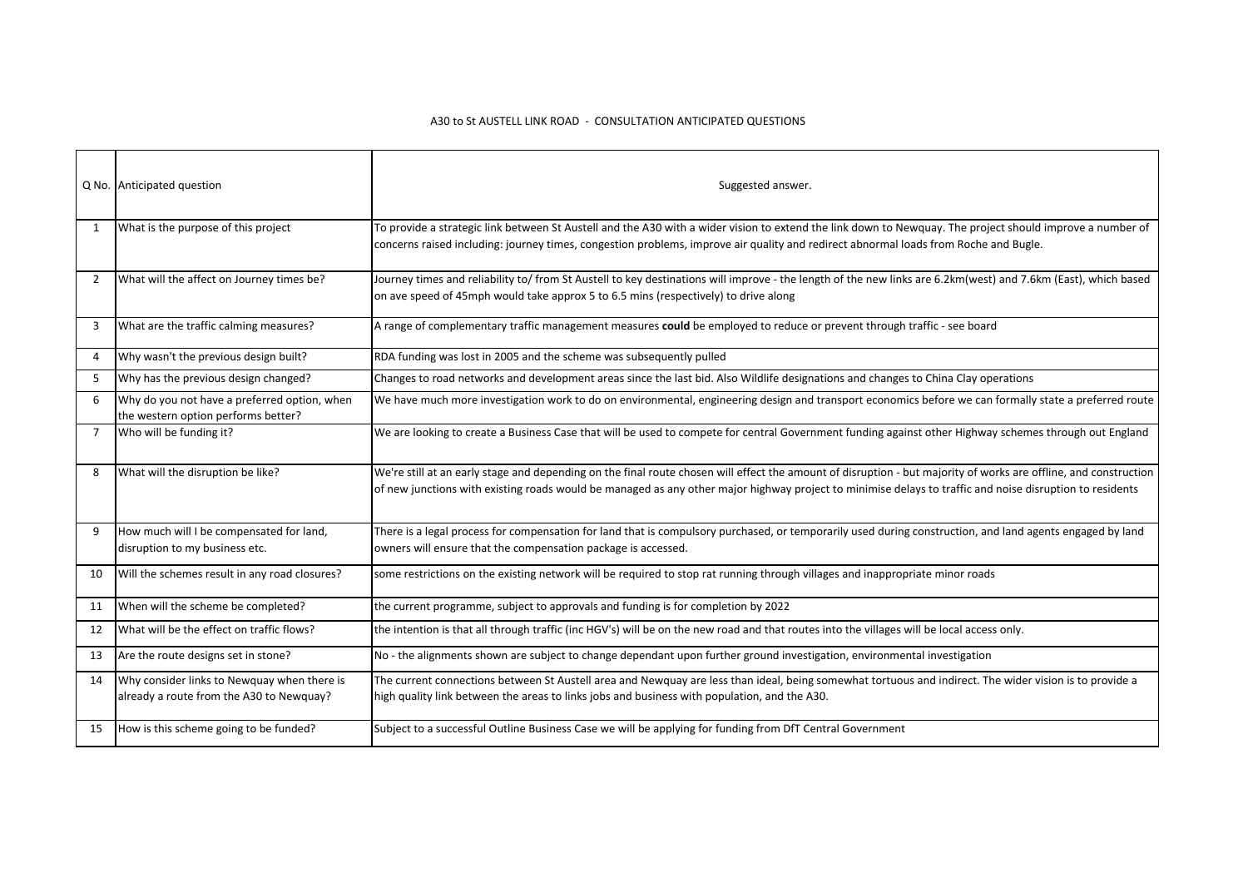## A30 to St AUSTELL LINK ROAD - CONSULTATION ANTICIPATED QUESTIONS

|    | Q No. Anticipated question                                                              | Suggested answer.                                                                                                                                                                                                                                                                                                            |
|----|-----------------------------------------------------------------------------------------|------------------------------------------------------------------------------------------------------------------------------------------------------------------------------------------------------------------------------------------------------------------------------------------------------------------------------|
| 1  | What is the purpose of this project                                                     | To provide a strategic link between St Austell and the A30 with a wider vision to extend the link down to Newquay. The project should improve a number of<br>concerns raised including: journey times, congestion problems, improve air quality and redirect abnormal loads from Roche and Bugle.                            |
| 2  | What will the affect on Journey times be?                                               | Journey times and reliability to/ from St Austell to key destinations will improve - the length of the new links are 6.2km(west) and 7.6km (East), which based<br>on ave speed of 45mph would take approx 5 to 6.5 mins (respectively) to drive along                                                                        |
| 3  | What are the traffic calming measures?                                                  | A range of complementary traffic management measures could be employed to reduce or prevent through traffic - see board                                                                                                                                                                                                      |
| 4  | Why wasn't the previous design built?                                                   | RDA funding was lost in 2005 and the scheme was subsequently pulled                                                                                                                                                                                                                                                          |
| -5 | Why has the previous design changed?                                                    | Changes to road networks and development areas since the last bid. Also Wildlife designations and changes to China Clay operations                                                                                                                                                                                           |
| 6  | Why do you not have a preferred option, when<br>the western option performs better?     | We have much more investigation work to do on environmental, engineering design and transport economics before we can formally state a preferred route                                                                                                                                                                       |
| 7  | Who will be funding it?                                                                 | We are looking to create a Business Case that will be used to compete for central Government funding against other Highway schemes through out England                                                                                                                                                                       |
| 8  | What will the disruption be like?                                                       | We're still at an early stage and depending on the final route chosen will effect the amount of disruption - but majority of works are offline, and construction<br>of new junctions with existing roads would be managed as any other major highway project to minimise delays to traffic and noise disruption to residents |
| 9  | How much will I be compensated for land,<br>disruption to my business etc.              | There is a legal process for compensation for land that is compulsory purchased, or temporarily used during construction, and land agents engaged by land<br>owners will ensure that the compensation package is accessed.                                                                                                   |
| 10 | Will the schemes result in any road closures?                                           | some restrictions on the existing network will be required to stop rat running through villages and inappropriate minor roads                                                                                                                                                                                                |
| 11 | When will the scheme be completed?                                                      | the current programme, subject to approvals and funding is for completion by 2022                                                                                                                                                                                                                                            |
| 12 | What will be the effect on traffic flows?                                               | the intention is that all through traffic (inc HGV's) will be on the new road and that routes into the villages will be local access only.                                                                                                                                                                                   |
| 13 | Are the route designs set in stone?                                                     | No - the alignments shown are subject to change dependant upon further ground investigation, environmental investigation                                                                                                                                                                                                     |
| 14 | Why consider links to Newquay when there is<br>already a route from the A30 to Newquay? | The current connections between St Austell area and Newquay are less than ideal, being somewhat tortuous and indirect. The wider vision is to provide a<br>high quality link between the areas to links jobs and business with population, and the A30.                                                                      |
| 15 | How is this scheme going to be funded?                                                  | Subject to a successful Outline Business Case we will be applying for funding from DfT Central Government                                                                                                                                                                                                                    |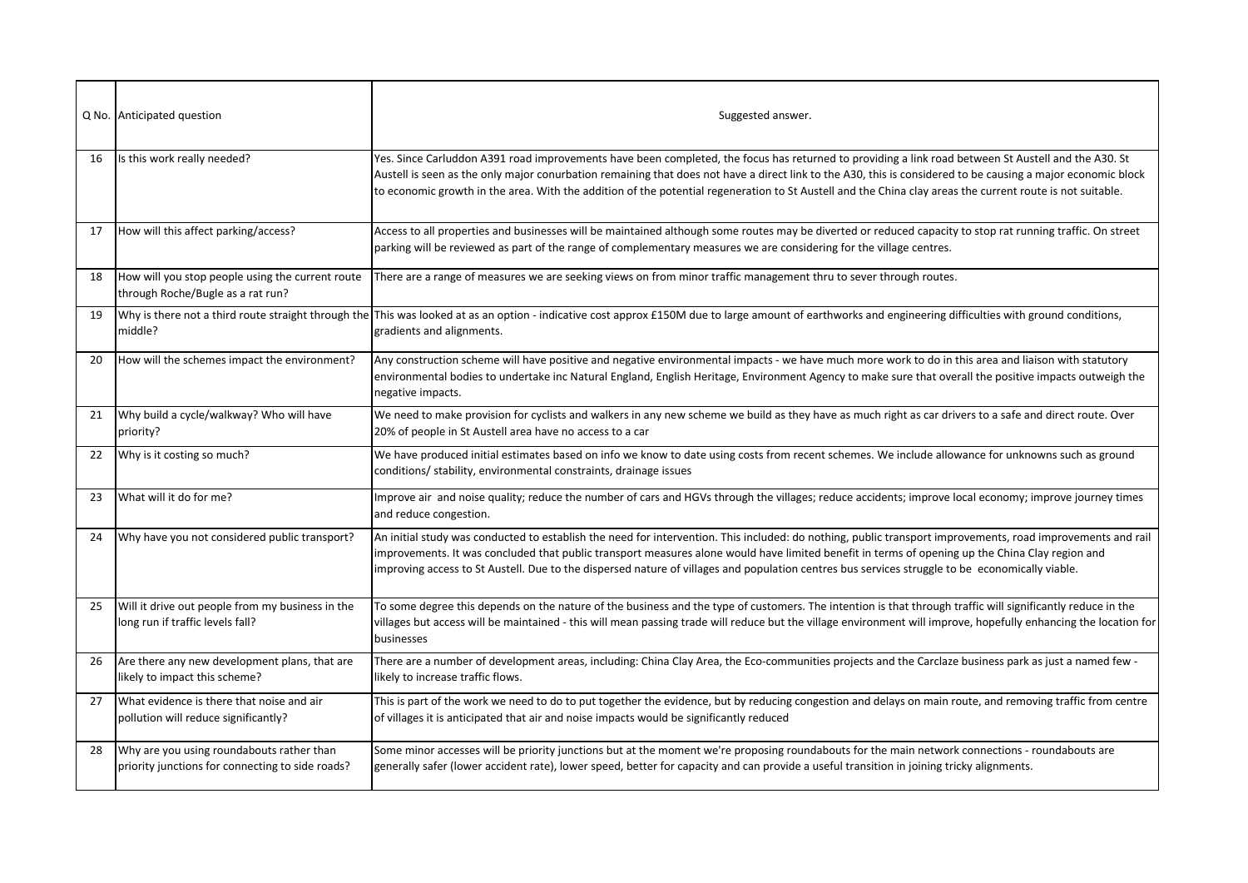|    | Q No. Anticipated question                                                                    | Suggested answer.                                                                                                                                                                                                                                                                                                                                                                                                                                                                |
|----|-----------------------------------------------------------------------------------------------|----------------------------------------------------------------------------------------------------------------------------------------------------------------------------------------------------------------------------------------------------------------------------------------------------------------------------------------------------------------------------------------------------------------------------------------------------------------------------------|
| 16 | Is this work really needed?                                                                   | Yes. Since Carluddon A391 road improvements have been completed, the focus has returned to providing a link road between St Austell and the A30. St<br>Austell is seen as the only major conurbation remaining that does not have a direct link to the A30, this is considered to be causing a major economic block<br>to economic growth in the area. With the addition of the potential regeneration to St Austell and the China clay areas the current route is not suitable. |
| 17 | How will this affect parking/access?                                                          | Access to all properties and businesses will be maintained although some routes may be diverted or reduced capacity to stop rat running traffic. On street<br>parking will be reviewed as part of the range of complementary measures we are considering for the village centres.                                                                                                                                                                                                |
| 18 | How will you stop people using the current route<br>through Roche/Bugle as a rat run?         | There are a range of measures we are seeking views on from minor traffic management thru to sever through routes.                                                                                                                                                                                                                                                                                                                                                                |
| 19 | middle?                                                                                       | Why is there not a third route straight through the This was looked at as an option - indicative cost approx £150M due to large amount of earthworks and engineering difficulties with ground conditions,<br>gradients and alignments.                                                                                                                                                                                                                                           |
| 20 | How will the schemes impact the environment?                                                  | Any construction scheme will have positive and negative environmental impacts - we have much more work to do in this area and liaison with statutory<br>environmental bodies to undertake inc Natural England, English Heritage, Environment Agency to make sure that overall the positive impacts outweigh the<br>negative impacts.                                                                                                                                             |
| 21 | Why build a cycle/walkway? Who will have<br>priority?                                         | We need to make provision for cyclists and walkers in any new scheme we build as they have as much right as car drivers to a safe and direct route. Over<br>20% of people in St Austell area have no access to a car                                                                                                                                                                                                                                                             |
| 22 | Why is it costing so much?                                                                    | We have produced initial estimates based on info we know to date using costs from recent schemes. We include allowance for unknowns such as ground<br>conditions/ stability, environmental constraints, drainage issues                                                                                                                                                                                                                                                          |
| 23 | What will it do for me?                                                                       | Improve air and noise quality; reduce the number of cars and HGVs through the villages; reduce accidents; improve local economy; improve journey times<br>and reduce congestion.                                                                                                                                                                                                                                                                                                 |
| 24 | Why have you not considered public transport?                                                 | An initial study was conducted to establish the need for intervention. This included: do nothing, public transport improvements, road improvements and rail<br>improvements. It was concluded that public transport measures alone would have limited benefit in terms of opening up the China Clay region and<br>improving access to St Austell. Due to the dispersed nature of villages and population centres bus services struggle to be economically viable.                |
| 25 | Will it drive out people from my business in the<br>long run if traffic levels fall?          | To some degree this depends on the nature of the business and the type of customers. The intention is that through traffic will significantly reduce in the<br>villages but access will be maintained - this will mean passing trade will reduce but the village environment will improve, hopefully enhancing the location for<br>businesses                                                                                                                                    |
| 26 | Are there any new development plans, that are<br>likely to impact this scheme?                | There are a number of development areas, including: China Clay Area, the Eco-communities projects and the Carclaze business park as just a named few -<br>likely to increase traffic flows.                                                                                                                                                                                                                                                                                      |
| 27 | What evidence is there that noise and air<br>pollution will reduce significantly?             | This is part of the work we need to do to put together the evidence, but by reducing congestion and delays on main route, and removing traffic from centre<br>of villages it is anticipated that air and noise impacts would be significantly reduced                                                                                                                                                                                                                            |
| 28 | Why are you using roundabouts rather than<br>priority junctions for connecting to side roads? | Some minor accesses will be priority junctions but at the moment we're proposing roundabouts for the main network connections - roundabouts are<br>generally safer (lower accident rate), lower speed, better for capacity and can provide a useful transition in joining tricky alignments.                                                                                                                                                                                     |